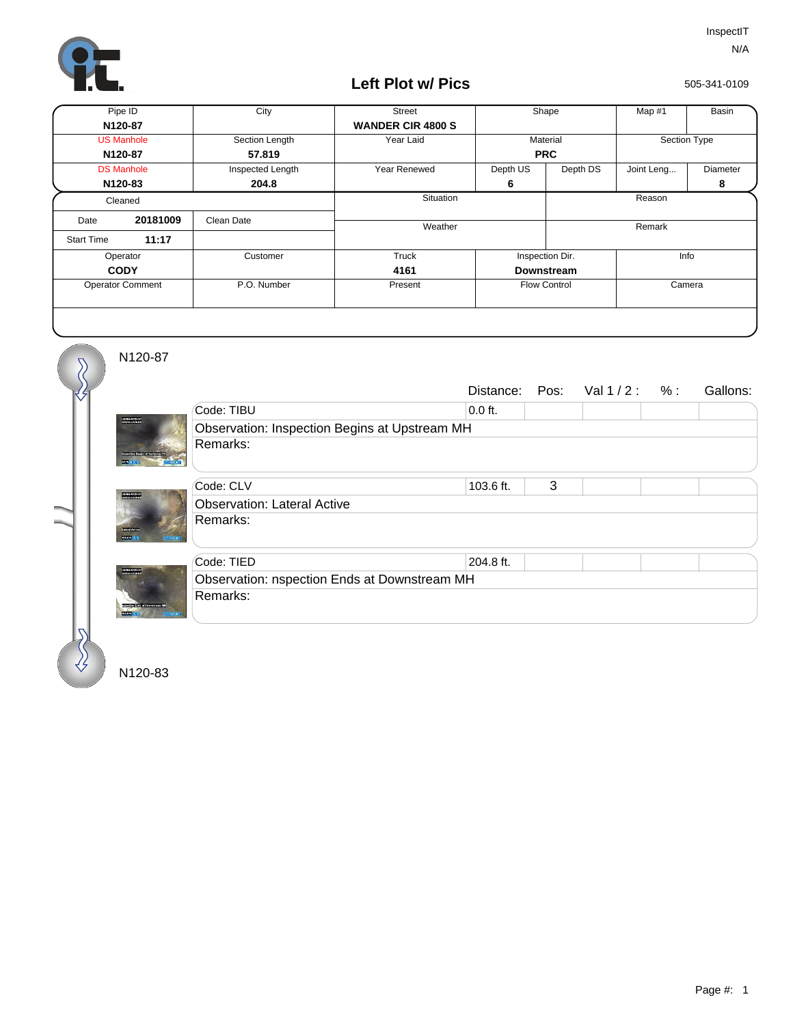

## **Left Plot w/ Pics**

505-341-0109

| Pipe ID                 |                   | City             | <b>Street</b>            | Shape               |          | Map #1       | Basin    |
|-------------------------|-------------------|------------------|--------------------------|---------------------|----------|--------------|----------|
| N120-87                 |                   |                  | <b>WANDER CIR 4800 S</b> |                     |          |              |          |
| <b>US Manhole</b>       |                   | Section Length   | Year Laid                | Material            |          | Section Type |          |
| N120-87                 |                   | 57.819           |                          | <b>PRC</b>          |          |              |          |
|                         | <b>DS Manhole</b> | Inspected Length | Year Renewed             | Depth US            | Depth DS | Joint Leng   | Diameter |
| N120-83                 |                   | 204.8            |                          | 6                   |          |              | 8        |
| Cleaned                 |                   |                  | Situation                |                     | Reason   |              |          |
| Date                    | 20181009          | Clean Date       |                          |                     |          |              |          |
| <b>Start Time</b>       | 11:17             |                  | Weather                  |                     |          | Remark       |          |
| Operator                |                   | Customer         | Truck                    | Inspection Dir.     |          | Info         |          |
| <b>CODY</b>             |                   |                  | 4161                     | <b>Downstream</b>   |          |              |          |
| <b>Operator Comment</b> |                   | P.O. Number      | Present                  | <b>Flow Control</b> |          | Camera       |          |
|                         |                   |                  |                          |                     |          |              |          |

N120-87

 $\overline{\mathcal{S}}$ 

|                                                                |                                               |           |   | Distance: Pos: Val 1/2: %: |  | Gallons: |  |  |  |
|----------------------------------------------------------------|-----------------------------------------------|-----------|---|----------------------------|--|----------|--|--|--|
|                                                                | Code: TIBU                                    | $0.0$ ft. |   |                            |  |          |  |  |  |
| UNNINERSTAT                                                    | Observation: Inspection Begins at Upstream MH |           |   |                            |  |          |  |  |  |
|                                                                | Remarks:                                      |           |   |                            |  |          |  |  |  |
|                                                                | Code: CLV                                     | 103.6 ft. | 3 |                            |  |          |  |  |  |
| <b>DAVID 20123-1</b>                                           | <b>Observation: Lateral Active</b>            |           |   |                            |  |          |  |  |  |
| <b>REMARKS</b>                                                 | Remarks:                                      |           |   |                            |  |          |  |  |  |
|                                                                | Code: TIED                                    | 204.8 ft. |   |                            |  |          |  |  |  |
| DEMONSTRATION<br>constructions of Democratic N<br><b>SOUTH</b> | Observation: nspection Ends at Downstream MH  |           |   |                            |  |          |  |  |  |
|                                                                | Remarks:                                      |           |   |                            |  |          |  |  |  |

N120-83

₩